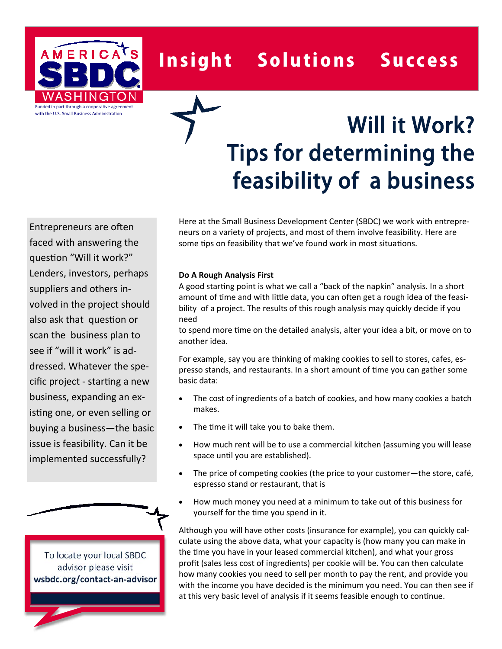AMERICATS Funded in part through a cooperative agreement with the U.S. Small Business Administration

## Insight Solutions Success

# Will it Work? Tips for determining the feasibility of a business

Entrepreneurs are often faced with answering the question "Will it work?" Lenders, investors, perhaps suppliers and others involved in the project should also ask that question or scan the business plan to see if "will it work" is addressed. Whatever the specific project - starƟng a new business, expanding an existing one, or even selling or buying a business—the basic issue is feasibility. Can it be implemented successfully?

To locate your local SBDC advisor please visit **wsbdc.org/contact‐an‐advisor** Here at the Small Business Development Center (SBDC) we work with entrepreneurs on a variety of projects, and most of them involve feasibility. Here are some tips on feasibility that we've found work in most situations.

#### **Do A Rough Analysis First**

A good starting point is what we call a "back of the napkin" analysis. In a short amount of time and with little data, you can often get a rough idea of the feasibility of a project. The results of this rough analysis may quickly decide if you need

to spend more time on the detailed analysis, alter your idea a bit, or move on to another idea.

For example, say you are thinking of making cookies to sell to stores, cafes, espresso stands, and restaurants. In a short amount of time you can gather some basic data:

- The cost of ingredients of a batch of cookies, and how many cookies a batch makes.
- The time it will take you to bake them.
- How much rent will be to use a commercial kitchen (assuming you will lease space until you are established).
- The price of competing cookies (the price to your customer—the store, café, espresso stand or restaurant, that is
- How much money you need at a minimum to take out of this business for yourself for the time you spend in it.

Although you will have other costs (insurance for example), you can quickly calculate using the above data, what your capacity is (how many you can make in the time you have in your leased commercial kitchen), and what your gross profit (sales less cost of ingredients) per cookie will be. You can then calculate how many cookies you need to sell per month to pay the rent, and provide you with the income you have decided is the minimum you need. You can then see if at this very basic level of analysis if it seems feasible enough to continue.